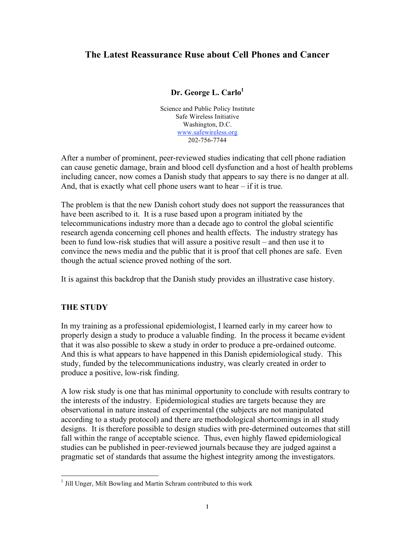# **The Latest Reassurance Ruse about Cell Phones and Cancer**

### **Dr. George L. Carlo**<sup>1</sup>

Science and Public Policy Institute Safe Wireless Initiative Washington, D.C. www.safewireless.org 202-756-7744

After a number of prominent, peer-reviewed studies indicating that cell phone radiation can cause genetic damage, brain and blood cell dysfunction and a host of health problems including cancer, now comes a Danish study that appears to say there is no danger at all. And, that is exactly what cell phone users want to hear – if it is true.

The problem is that the new Danish cohort study does not support the reassurances that have been ascribed to it. It is a ruse based upon a program initiated by the telecommunications industry more than a decade ago to control the global scientific research agenda concerning cell phones and health effects. The industry strategy has been to fund low-risk studies that will assure a positive result – and then use it to convince the news media and the public that it is proof that cell phones are safe. Even though the actual science proved nothing of the sort.

It is against this backdrop that the Danish study provides an illustrative case history.

### **THE STUDY**

In my training as a professional epidemiologist, I learned early in my career how to properly design a study to produce a valuable finding. In the process it became evident that it was also possible to skew a study in order to produce a pre-ordained outcome. And this is what appears to have happened in this Danish epidemiological study. This study, funded by the telecommunications industry, was clearly created in order to produce a positive, low-risk finding.

A low risk study is one that has minimal opportunity to conclude with results contrary to the interests of the industry. Epidemiological studies are targets because they are observational in nature instead of experimental (the subjects are not manipulated according to a study protocol) and there are methodological shortcomings in all study designs. It is therefore possible to design studies with pre-determined outcomes that still fall within the range of acceptable science. Thus, even highly flawed epidemiological studies can be published in peer-reviewed journals because they are judged against a pragmatic set of standards that assume the highest integrity among the investigators.

<sup>&</sup>lt;sup>1</sup> Jill Unger, Milt Bowling and Martin Schram contributed to this work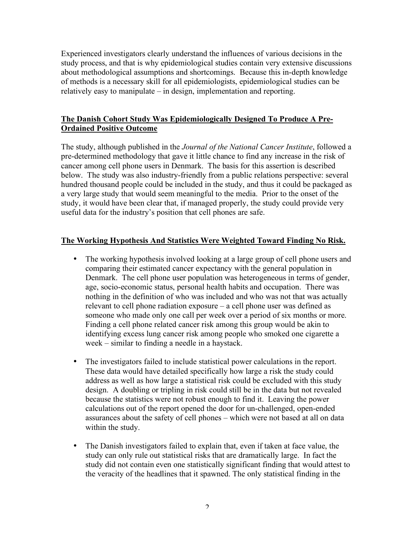Experienced investigators clearly understand the influences of various decisions in the study process, and that is why epidemiological studies contain very extensive discussions about methodological assumptions and shortcomings. Because this in-depth knowledge of methods is a necessary skill for all epidemiologists, epidemiological studies can be relatively easy to manipulate – in design, implementation and reporting.

### **The Danish Cohort Study Was Epidemiologically Designed To Produce A Pre-Ordained Positive Outcome**

The study, although published in the *Journal of the National Cancer Institute*, followed a pre-determined methodology that gave it little chance to find any increase in the risk of cancer among cell phone users in Denmark. The basis for this assertion is described below. The study was also industry-friendly from a public relations perspective: several hundred thousand people could be included in the study, and thus it could be packaged as a very large study that would seem meaningful to the media. Prior to the onset of the study, it would have been clear that, if managed properly, the study could provide very useful data for the industry's position that cell phones are safe.

### **The Working Hypothesis And Statistics Were Weighted Toward Finding No Risk.**

- The working hypothesis involved looking at a large group of cell phone users and comparing their estimated cancer expectancy with the general population in Denmark. The cell phone user population was heterogeneous in terms of gender, age, socio-economic status, personal health habits and occupation. There was nothing in the definition of who was included and who was not that was actually relevant to cell phone radiation exposure – a cell phone user was defined as someone who made only one call per week over a period of six months or more. Finding a cell phone related cancer risk among this group would be akin to identifying excess lung cancer risk among people who smoked one cigarette a week – similar to finding a needle in a haystack.
- The investigators failed to include statistical power calculations in the report. These data would have detailed specifically how large a risk the study could address as well as how large a statistical risk could be excluded with this study design. A doubling or tripling in risk could still be in the data but not revealed because the statistics were not robust enough to find it. Leaving the power calculations out of the report opened the door for un-challenged, open-ended assurances about the safety of cell phones – which were not based at all on data within the study.
- The Danish investigators failed to explain that, even if taken at face value, the study can only rule out statistical risks that are dramatically large. In fact the study did not contain even one statistically significant finding that would attest to the veracity of the headlines that it spawned. The only statistical finding in the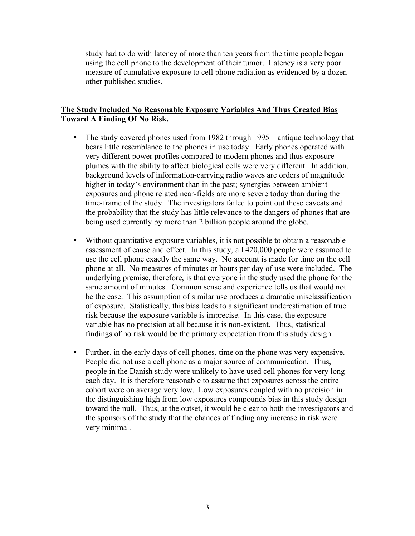study had to do with latency of more than ten years from the time people began using the cell phone to the development of their tumor. Latency is a very poor measure of cumulative exposure to cell phone radiation as evidenced by a dozen other published studies.

### **The Study Included No Reasonable Exposure Variables And Thus Created Bias Toward A Finding Of No Risk.**

- The study covered phones used from 1982 through 1995 antique technology that bears little resemblance to the phones in use today. Early phones operated with very different power profiles compared to modern phones and thus exposure plumes with the ability to affect biological cells were very different. In addition, background levels of information-carrying radio waves are orders of magnitude higher in today's environment than in the past; synergies between ambient exposures and phone related near-fields are more severe today than during the time-frame of the study. The investigators failed to point out these caveats and the probability that the study has little relevance to the dangers of phones that are being used currently by more than 2 billion people around the globe.
- Without quantitative exposure variables, it is not possible to obtain a reasonable assessment of cause and effect. In this study, all 420,000 people were assumed to use the cell phone exactly the same way. No account is made for time on the cell phone at all. No measures of minutes or hours per day of use were included. The underlying premise, therefore, is that everyone in the study used the phone for the same amount of minutes. Common sense and experience tells us that would not be the case. This assumption of similar use produces a dramatic misclassification of exposure. Statistically, this bias leads to a significant underestimation of true risk because the exposure variable is imprecise. In this case, the exposure variable has no precision at all because it is non-existent. Thus, statistical findings of no risk would be the primary expectation from this study design.
- Further, in the early days of cell phones, time on the phone was very expensive. People did not use a cell phone as a major source of communication. Thus, people in the Danish study were unlikely to have used cell phones for very long each day. It is therefore reasonable to assume that exposures across the entire cohort were on average very low. Low exposures coupled with no precision in the distinguishing high from low exposures compounds bias in this study design toward the null. Thus, at the outset, it would be clear to both the investigators and the sponsors of the study that the chances of finding any increase in risk were very minimal.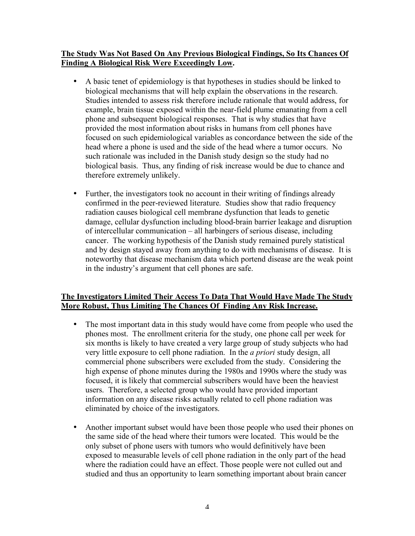### **The Study Was Not Based On Any Previous Biological Findings, So Its Chances Of Finding A Biological Risk Were Exceedingly Low.**

- A basic tenet of epidemiology is that hypotheses in studies should be linked to biological mechanisms that will help explain the observations in the research. Studies intended to assess risk therefore include rationale that would address, for example, brain tissue exposed within the near-field plume emanating from a cell phone and subsequent biological responses. That is why studies that have provided the most information about risks in humans from cell phones have focused on such epidemiological variables as concordance between the side of the head where a phone is used and the side of the head where a tumor occurs. No such rationale was included in the Danish study design so the study had no biological basis. Thus, any finding of risk increase would be due to chance and therefore extremely unlikely.
- Further, the investigators took no account in their writing of findings already confirmed in the peer-reviewed literature. Studies show that radio frequency radiation causes biological cell membrane dysfunction that leads to genetic damage, cellular dysfunction including blood-brain barrier leakage and disruption of intercellular communication – all harbingers of serious disease, including cancer. The working hypothesis of the Danish study remained purely statistical and by design stayed away from anything to do with mechanisms of disease. It is noteworthy that disease mechanism data which portend disease are the weak point in the industry's argument that cell phones are safe.

### **The Investigators Limited Their Access To Data That Would Have Made The Study More Robust, Thus Limiting The Chances Of Finding Any Risk Increase.**

- The most important data in this study would have come from people who used the phones most. The enrollment criteria for the study, one phone call per week for six months is likely to have created a very large group of study subjects who had very little exposure to cell phone radiation. In the *a priori* study design, all commercial phone subscribers were excluded from the study. Considering the high expense of phone minutes during the 1980s and 1990s where the study was focused, it is likely that commercial subscribers would have been the heaviest users. Therefore, a selected group who would have provided important information on any disease risks actually related to cell phone radiation was eliminated by choice of the investigators.
- Another important subset would have been those people who used their phones on the same side of the head where their tumors were located. This would be the only subset of phone users with tumors who would definitively have been exposed to measurable levels of cell phone radiation in the only part of the head where the radiation could have an effect. Those people were not culled out and studied and thus an opportunity to learn something important about brain cancer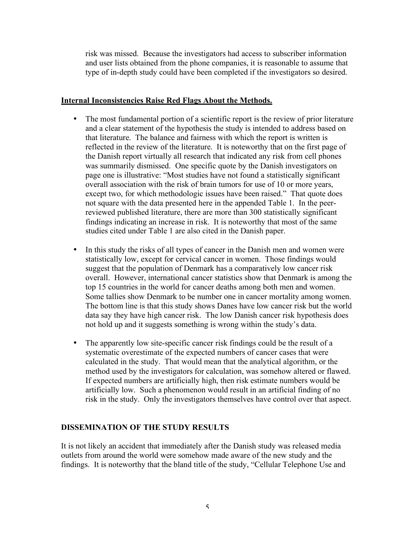risk was missed. Because the investigators had access to subscriber information and user lists obtained from the phone companies, it is reasonable to assume that type of in-depth study could have been completed if the investigators so desired.

#### **Internal Inconsistencies Raise Red Flags About the Methods.**

- The most fundamental portion of a scientific report is the review of prior literature and a clear statement of the hypothesis the study is intended to address based on that literature. The balance and fairness with which the report is written is reflected in the review of the literature. It is noteworthy that on the first page of the Danish report virtually all research that indicated any risk from cell phones was summarily dismissed. One specific quote by the Danish investigators on page one is illustrative: "Most studies have not found a statistically significant overall association with the risk of brain tumors for use of 10 or more years, except two, for which methodologic issues have been raised." That quote does not square with the data presented here in the appended Table 1. In the peerreviewed published literature, there are more than 300 statistically significant findings indicating an increase in risk. It is noteworthy that most of the same studies cited under Table 1 are also cited in the Danish paper.
- In this study the risks of all types of cancer in the Danish men and women were statistically low, except for cervical cancer in women. Those findings would suggest that the population of Denmark has a comparatively low cancer risk overall. However, international cancer statistics show that Denmark is among the top 15 countries in the world for cancer deaths among both men and women. Some tallies show Denmark to be number one in cancer mortality among women. The bottom line is that this study shows Danes have low cancer risk but the world data say they have high cancer risk. The low Danish cancer risk hypothesis does not hold up and it suggests something is wrong within the study's data.
- The apparently low site-specific cancer risk findings could be the result of a systematic overestimate of the expected numbers of cancer cases that were calculated in the study. That would mean that the analytical algorithm, or the method used by the investigators for calculation, was somehow altered or flawed. If expected numbers are artificially high, then risk estimate numbers would be artificially low. Such a phenomenon would result in an artificial finding of no risk in the study. Only the investigators themselves have control over that aspect.

### **DISSEMINATION OF THE STUDY RESULTS**

It is not likely an accident that immediately after the Danish study was released media outlets from around the world were somehow made aware of the new study and the findings. It is noteworthy that the bland title of the study, "Cellular Telephone Use and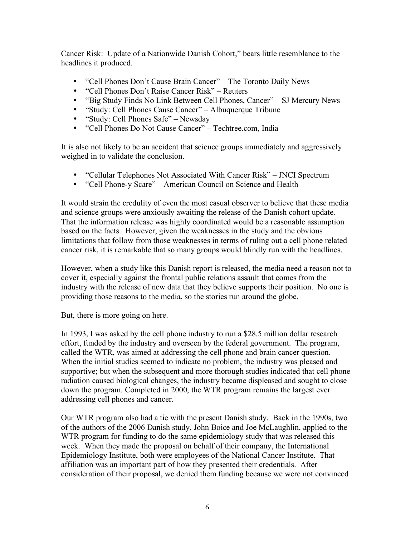Cancer Risk: Update of a Nationwide Danish Cohort," bears little resemblance to the headlines it produced.

- "Cell Phones Don't Cause Brain Cancer" The Toronto Daily News
- "Cell Phones Don't Raise Cancer Risk" Reuters
- "Big Study Finds No Link Between Cell Phones, Cancer" SJ Mercury News
- "Study: Cell Phones Cause Cancer" Albuquerque Tribune
- "Study: Cell Phones Safe" Newsday
- "Cell Phones Do Not Cause Cancer" Techtree.com, India

It is also not likely to be an accident that science groups immediately and aggressively weighed in to validate the conclusion.

- "Cellular Telephones Not Associated With Cancer Risk" JNCI Spectrum
- "Cell Phone-y Scare" American Council on Science and Health

It would strain the credulity of even the most casual observer to believe that these media and science groups were anxiously awaiting the release of the Danish cohort update. That the information release was highly coordinated would be a reasonable assumption based on the facts. However, given the weaknesses in the study and the obvious limitations that follow from those weaknesses in terms of ruling out a cell phone related cancer risk, it is remarkable that so many groups would blindly run with the headlines.

However, when a study like this Danish report is released, the media need a reason not to cover it, especially against the frontal public relations assault that comes from the industry with the release of new data that they believe supports their position. No one is providing those reasons to the media, so the stories run around the globe.

But, there is more going on here.

In 1993, I was asked by the cell phone industry to run a \$28.5 million dollar research effort, funded by the industry and overseen by the federal government. The program, called the WTR, was aimed at addressing the cell phone and brain cancer question. When the initial studies seemed to indicate no problem, the industry was pleased and supportive; but when the subsequent and more thorough studies indicated that cell phone radiation caused biological changes, the industry became displeased and sought to close down the program. Completed in 2000, the WTR program remains the largest ever addressing cell phones and cancer.

Our WTR program also had a tie with the present Danish study. Back in the 1990s, two of the authors of the 2006 Danish study, John Boice and Joe McLaughlin, applied to the WTR program for funding to do the same epidemiology study that was released this week. When they made the proposal on behalf of their company, the International Epidemiology Institute, both were employees of the National Cancer Institute. That affiliation was an important part of how they presented their credentials. After consideration of their proposal, we denied them funding because we were not convinced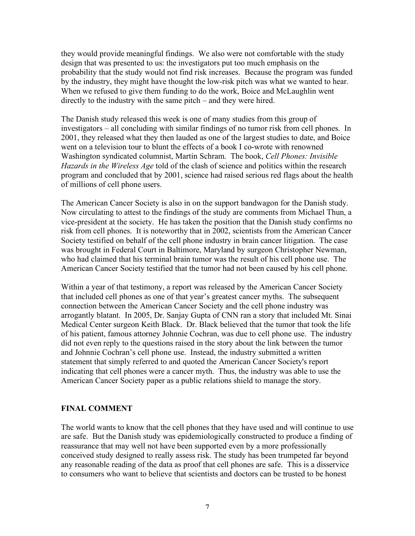they would provide meaningful findings. We also were not comfortable with the study design that was presented to us: the investigators put too much emphasis on the probability that the study would not find risk increases. Because the program was funded by the industry, they might have thought the low-risk pitch was what we wanted to hear. When we refused to give them funding to do the work, Boice and McLaughlin went directly to the industry with the same pitch – and they were hired.

The Danish study released this week is one of many studies from this group of investigators – all concluding with similar findings of no tumor risk from cell phones. In 2001, they released what they then lauded as one of the largest studies to date, and Boice went on a television tour to blunt the effects of a book I co-wrote with renowned Washington syndicated columnist, Martin Schram. The book, *Cell Phones: Invisible Hazards in the Wireless Age* told of the clash of science and politics within the research program and concluded that by 2001, science had raised serious red flags about the health of millions of cell phone users.

The American Cancer Society is also in on the support bandwagon for the Danish study. Now circulating to attest to the findings of the study are comments from Michael Thun, a vice-president at the society. He has taken the position that the Danish study confirms no risk from cell phones. It is noteworthy that in 2002, scientists from the American Cancer Society testified on behalf of the cell phone industry in brain cancer litigation. The case was brought in Federal Court in Baltimore, Maryland by surgeon Christopher Newman, who had claimed that his terminal brain tumor was the result of his cell phone use. The American Cancer Society testified that the tumor had not been caused by his cell phone.

Within a year of that testimony, a report was released by the American Cancer Society that included cell phones as one of that year's greatest cancer myths. The subsequent connection between the American Cancer Society and the cell phone industry was arrogantly blatant. In 2005, Dr. Sanjay Gupta of CNN ran a story that included Mt. Sinai Medical Center surgeon Keith Black. Dr. Black believed that the tumor that took the life of his patient, famous attorney Johnnie Cochran, was due to cell phone use. The industry did not even reply to the questions raised in the story about the link between the tumor and Johnnie Cochran's cell phone use. Instead, the industry submitted a written statement that simply referred to and quoted the American Cancer Society's report indicating that cell phones were a cancer myth. Thus, the industry was able to use the American Cancer Society paper as a public relations shield to manage the story.

### **FINAL COMMENT**

The world wants to know that the cell phones that they have used and will continue to use are safe. But the Danish study was epidemiologically constructed to produce a finding of reassurance that may well not have been supported even by a more professionally conceived study designed to really assess risk. The study has been trumpeted far beyond any reasonable reading of the data as proof that cell phones are safe. This is a disservice to consumers who want to believe that scientists and doctors can be trusted to be honest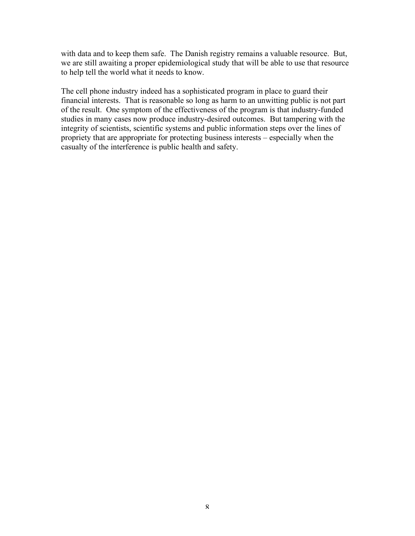with data and to keep them safe. The Danish registry remains a valuable resource. But, we are still awaiting a proper epidemiological study that will be able to use that resource to help tell the world what it needs to know.

The cell phone industry indeed has a sophisticated program in place to guard their financial interests. That is reasonable so long as harm to an unwitting public is not part of the result. One symptom of the effectiveness of the program is that industry-funded studies in many cases now produce industry-desired outcomes. But tampering with the integrity of scientists, scientific systems and public information steps over the lines of propriety that are appropriate for protecting business interests – especially when the casualty of the interference is public health and safety.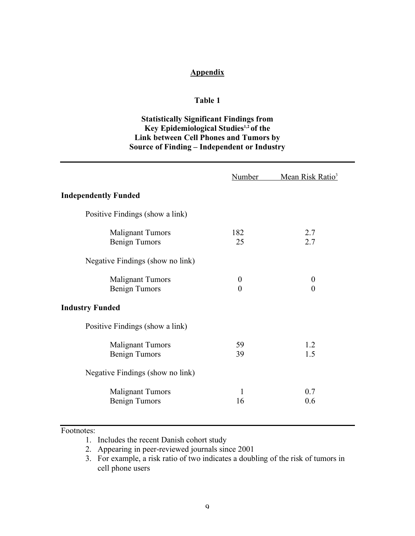### **Appendix**

#### **Table 1**

## **Statistically Significant Findings from Key Epidemiological Studies 1,2 of the Link between Cell Phones and Tumors by Source of Finding – Independent or Industry**

|                                                 | Number                       | Mean Risk Ratio <sup>3</sup> |
|-------------------------------------------------|------------------------------|------------------------------|
| <b>Independently Funded</b>                     |                              |                              |
| Positive Findings (show a link)                 |                              |                              |
| <b>Malignant Tumors</b><br><b>Benign Tumors</b> | 182<br>25                    | 2.7<br>2.7                   |
| Negative Findings (show no link)                |                              |                              |
| <b>Malignant Tumors</b><br><b>Benign Tumors</b> | $\boldsymbol{0}$<br>$\theta$ | $\boldsymbol{0}$<br>$\theta$ |
| <b>Industry Funded</b>                          |                              |                              |
| Positive Findings (show a link)                 |                              |                              |
| <b>Malignant Tumors</b><br><b>Benign Tumors</b> | 59<br>39                     | 1.2<br>1.5                   |
| Negative Findings (show no link)                |                              |                              |
| <b>Malignant Tumors</b><br><b>Benign Tumors</b> | $\mathbf{1}$<br>16           | 0.7<br>0.6                   |

#### Footnotes:

- 1. Includes the recent Danish cohort study
- 2. Appearing in peer-reviewed journals since 2001
- 3. For example, a risk ratio of two indicates a doubling of the risk of tumors in cell phone users